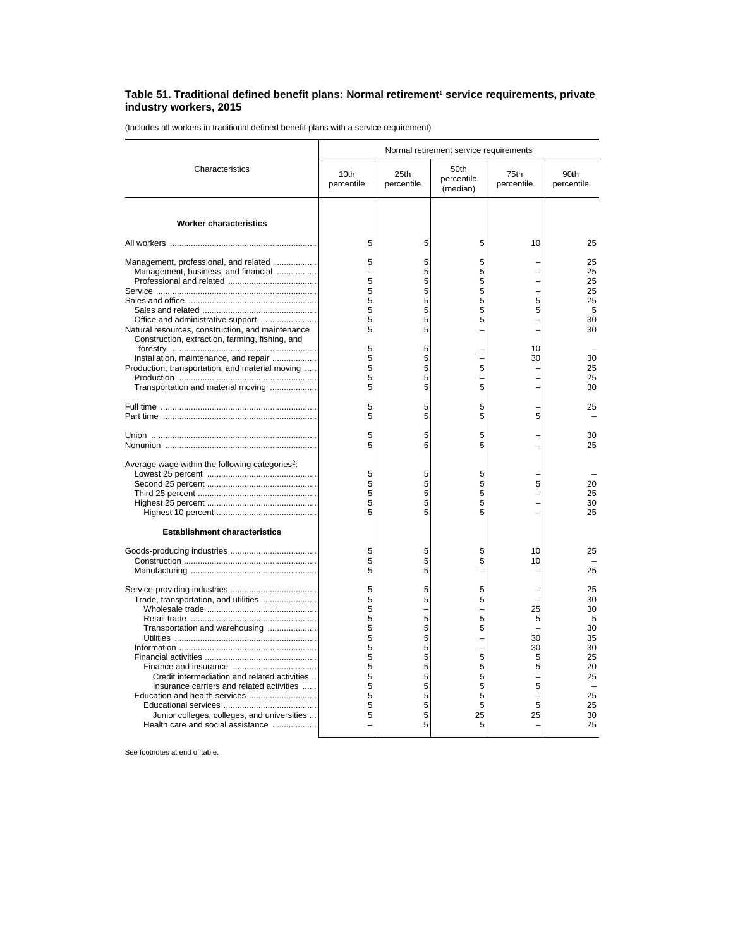## **Table 51. Traditional defined benefit plans: Normal retirement**<sup>1</sup>  **service requirements, private industry workers, 2015**

(Includes all workers in traditional defined benefit plans with a service requirement)

|                                                                                                                                                                                                                                                         | Normal retirement service requirements                             |                                                                         |                                                           |                                               |                                                                                 |  |
|---------------------------------------------------------------------------------------------------------------------------------------------------------------------------------------------------------------------------------------------------------|--------------------------------------------------------------------|-------------------------------------------------------------------------|-----------------------------------------------------------|-----------------------------------------------|---------------------------------------------------------------------------------|--|
| Characteristics                                                                                                                                                                                                                                         | 10th<br>percentile                                                 | 25th<br>percentile                                                      | 50th<br>percentile<br>(median)                            | 75th<br>percentile                            | 90th<br>percentile                                                              |  |
| <b>Worker characteristics</b>                                                                                                                                                                                                                           |                                                                    |                                                                         |                                                           |                                               |                                                                                 |  |
|                                                                                                                                                                                                                                                         | 5                                                                  | 5                                                                       | 5                                                         | 10                                            | 25                                                                              |  |
| Management, professional, and related<br>Management, business, and financial<br>Office and administrative support<br>Natural resources, construction, and maintenance                                                                                   | 5<br>5<br>5<br>5<br>5<br>5<br>5                                    | 5<br>5<br>5<br>5<br>5<br>5<br>5<br>5                                    | 5<br>5<br>5<br>5<br>5<br>5<br>5                           | 5<br>5<br>L.<br>L,                            | 25<br>25<br>25<br>25<br>25<br>5<br>30<br>30                                     |  |
| Construction, extraction, farming, fishing, and<br>Installation, maintenance, and repair<br>Production, transportation, and material moving<br>Transportation and material moving                                                                       | 5<br>5<br>5<br>5<br>5                                              | 5<br>5<br>5<br>5<br>5                                                   | 5<br>5                                                    | 10<br>30                                      | 30<br>25<br>25<br>30                                                            |  |
|                                                                                                                                                                                                                                                         | 5<br>5                                                             | 5<br>5                                                                  | 5<br>5                                                    | 5                                             | 25                                                                              |  |
|                                                                                                                                                                                                                                                         | 5<br>5                                                             | 5<br>5                                                                  | 5<br>5                                                    |                                               | 30<br>25                                                                        |  |
| Average wage within the following categories <sup>2</sup> :                                                                                                                                                                                             | 5<br>5<br>5<br>5<br>5                                              | 5<br>5<br>5<br>5<br>5                                                   | 5<br>5<br>5<br>5<br>5                                     | 5                                             | 20<br>25<br>30<br>25                                                            |  |
| <b>Establishment characteristics</b>                                                                                                                                                                                                                    | 5<br>5<br>5                                                        | 5<br>5<br>5                                                             | 5<br>5                                                    | 10<br>10                                      | 25<br>25                                                                        |  |
| Trade, transportation, and utilities<br>Transportation and warehousing<br>Credit intermediation and related activities<br>Insurance carriers and related activities<br>Junior colleges, colleges, and universities<br>Health care and social assistance | 5<br>5<br>5<br>5<br>5<br>5<br>5<br>5<br>5<br>5<br>5<br>5<br>5<br>5 | 5<br>5<br>-<br>5<br>5<br>5<br>5<br>5<br>5<br>5<br>5<br>5<br>5<br>5<br>5 | 5<br>5<br>5<br>5<br>5<br>5<br>5<br>5<br>5<br>5<br>25<br>5 | 25<br>5<br>30<br>30<br>5<br>5<br>5<br>5<br>25 | 25<br>30<br>30<br>5<br>30<br>35<br>30<br>25<br>20<br>25<br>25<br>25<br>30<br>25 |  |

See footnotes at end of table.